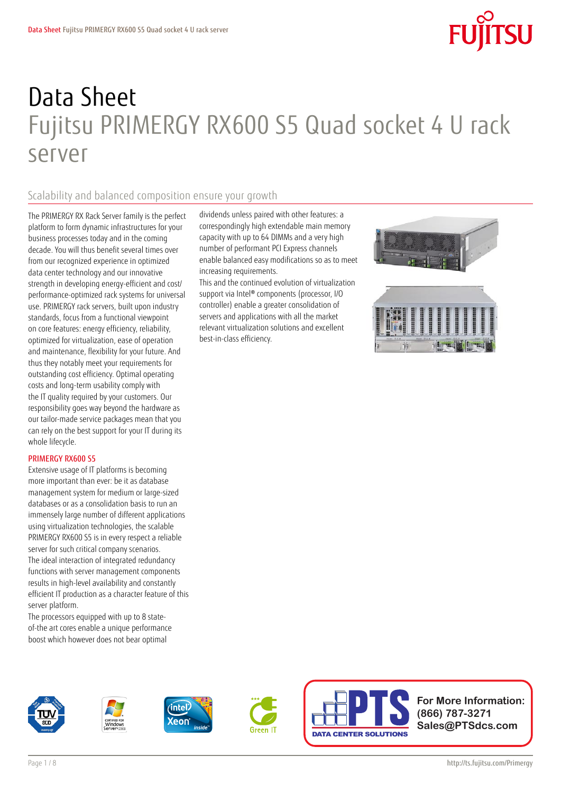# Data Sheet Fujitsu PRIMERGY RX600 S5 Quad socket 4 U rack server

### Scalability and balanced composition ensure your growth

The PRIMERGY RX Rack Server family is the perfect platform to form dynamic infrastructures for your business processes today and in the coming decade. You will thus benefit several times over from our recognized experience in optimized data center technology and our innovative strength in developing energy-efficient and cost/ performance-optimized rack systems for universal use. PRIMERGY rack servers, built upon industry standards, focus from a functional viewpoint on core features: energy efficiency, reliability, optimized for virtualization, ease of operation and maintenance, flexibility for your future. And thus they notably meet your requirements for outstanding cost efficiency. Optimal operating costs and long-term usability comply with the IT quality required by your customers. Our responsibility goes way beyond the hardware as our tailor-made service packages mean that you can rely on the best support for your IT during its whole lifecycle.

### PRIMERGY RX600 S5

Extensive usage of IT platforms is becoming more important than ever: be it as database management system for medium or large-sized databases or as a consolidation basis to run an immensely large number of different applications using virtualization technologies, the scalable PRIMERGY RX600 S5 is in every respect a reliable server for such critical company scenarios. The ideal interaction of integrated redundancy functions with server management components results in high-level availability and constantly efficient IT production as a character feature of this server platform.

The processors equipped with up to 8 stateof-the art cores enable a unique performance boost which however does not bear optimal

dividends unless paired with other features: a correspondingly high extendable main memory capacity with up to 64 DIMMs and a very high number of performant PCI Express channels enable balanced easy modifications so as to meet increasing requirements.

This and the continued evolution of virtualization support via Intel® components (processor, I/O controller) enable a greater consolidation of servers and applications with all the market relevant virtualization solutions and excellent best-in-class efficiency.













**For More Information: (866) 787-3271 Sales@PTSdcs.com**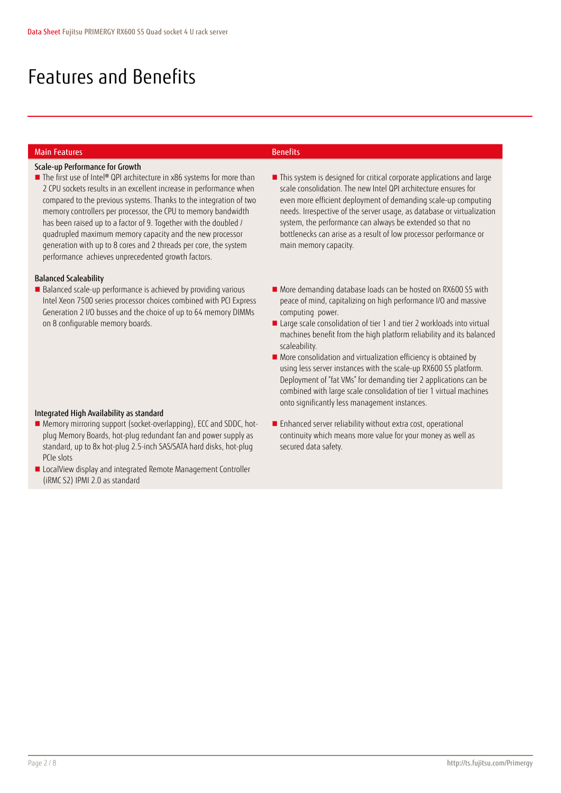## Features and Benefits

### Main Features Benefits Benefits

### Scale-up Performance for Growth

■ The first use of Intel® QPI architecture in x86 systems for more than 2 CPU sockets results in an excellent increase in performance when compared to the previous systems. Thanks to the integration of two memory controllers per processor, the CPU to memory bandwidth has been raised up to a factor of 9. Together with the doubled / quadrupled maximum memory capacity and the new processor generation with up to 8 cores and 2 threads per core, the system performance achieves unprecedented growth factors.

### Balanced Scaleability

Balanced scale-up performance is achieved by providing various Intel Xeon 7500 series processor choices combined with PCI Express Generation 2 I/O busses and the choice of up to 64 memory DIMMs on 8 configurable memory boards.

### Integrated High Availability as standard

- Memory mirroring support (socket-overlapping), ECC and SDDC, hotplug Memory Boards, hot-plug redundant fan and power supply as standard, up to 8x hot-plug 2.5-inch SAS/SATA hard disks, hot-plug PCIe slots
- LocalView display and integrated Remote Management Controller (iRMC S2) IPMI 2.0 as standard

- This system is designed for critical corporate applications and large scale consolidation. The new Intel QPI architecture ensures for even more efficient deployment of demanding scale-up computing needs. Irrespective of the server usage, as database or virtualization system, the performance can always be extended so that no bottlenecks can arise as a result of low processor performance or main memory capacity.
- More demanding database loads can be hosted on RX600 S5 with peace of mind, capitalizing on high performance I/O and massive computing power.
- Large scale consolidation of tier 1 and tier 2 workloads into virtual machines benefit from the high platform reliability and its balanced scaleability.
- **More consolidation and virtualization efficiency is obtained by** using less server instances with the scale-up RX600 S5 platform. Deployment of "fat VMs" for demanding tier 2 applications can be combined with large scale consolidation of tier 1 virtual machines onto significantly less management instances.
- **Enhanced server reliability without extra cost, operational** continuity which means more value for your money as well as secured data safety.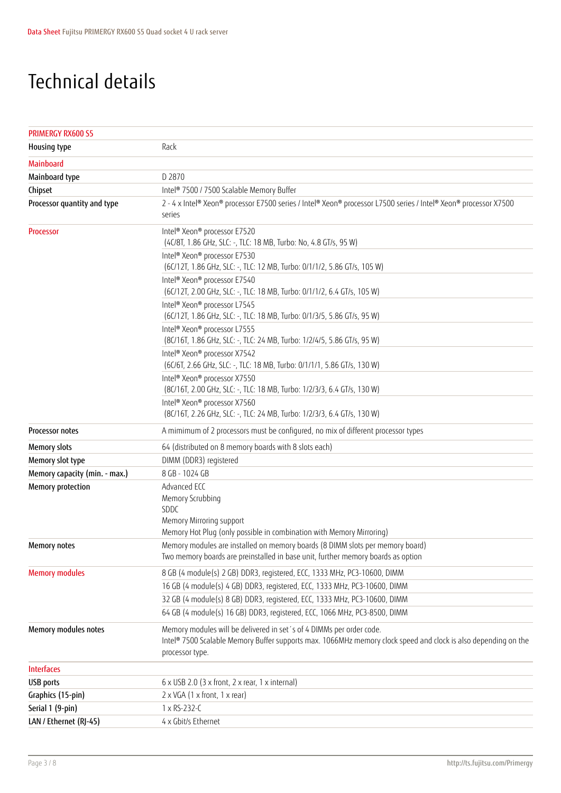### Technical details

| <b>PRIMERGY RX600 S5</b>      |                                                                                                                                                                                                           |
|-------------------------------|-----------------------------------------------------------------------------------------------------------------------------------------------------------------------------------------------------------|
| Housing type                  | Rack                                                                                                                                                                                                      |
| <b>Mainboard</b>              |                                                                                                                                                                                                           |
| Mainboard type                | D 2870                                                                                                                                                                                                    |
| Chipset                       | Intel® 7500 / 7500 Scalable Memory Buffer                                                                                                                                                                 |
| Processor quantity and type   | 2 - 4 x Intel® Xeon® processor E7500 series / Intel® Xeon® processor L7500 series / Intel® Xeon® processor X7500<br>series                                                                                |
| <b>Processor</b>              | Intel® Xeon® processor E7520<br>(4C/8T, 1.86 GHz, SLC: -, TLC: 18 MB, Turbo: No, 4.8 GT/s, 95 W)                                                                                                          |
|                               | Intel® Xeon® processor E7530<br>(6C/12T, 1.86 GHz, SLC: -, TLC: 12 MB, Turbo: 0/1/1/2, 5.86 GT/s, 105 W)                                                                                                  |
|                               | Intel® Xeon® processor E7540<br>(6C/12T, 2.00 GHz, SLC: -, TLC: 18 MB, Turbo: 0/1/1/2, 6.4 GT/s, 105 W)                                                                                                   |
|                               | Intel <sup>®</sup> Xeon <sup>®</sup> processor L7545<br>(6C/12T, 1.86 GHz, SLC: -, TLC: 18 MB, Turbo: 0/1/3/5, 5.86 GT/s, 95 W)                                                                           |
|                               | Intel <sup>®</sup> Xeon <sup>®</sup> processor L7555<br>(8C/16T, 1.86 GHz, SLC: -, TLC: 24 MB, Turbo: 1/2/4/5, 5.86 GT/s, 95 W)                                                                           |
|                               | Intel® Xeon® processor X7542<br>(6C/6T, 2.66 GHz, SLC: -, TLC: 18 MB, Turbo: 0/1/1/1, 5.86 GT/s, 130 W)                                                                                                   |
|                               | Intel® Xeon® processor X7550<br>(8C/16T, 2.00 GHz, SLC: -, TLC: 18 MB, Turbo: 1/2/3/3, 6.4 GT/s, 130 W)                                                                                                   |
|                               | Intel® Xeon® processor X7560<br>(8C/16T, 2.26 GHz, SLC: -, TLC: 24 MB, Turbo: 1/2/3/3, 6.4 GT/s, 130 W)                                                                                                   |
| Processor notes               | A mimimum of 2 processors must be configured, no mix of different processor types                                                                                                                         |
| <b>Memory slots</b>           | 64 (distributed on 8 memory boards with 8 slots each)                                                                                                                                                     |
| Memory slot type              | DIMM (DDR3) registered                                                                                                                                                                                    |
| Memory capacity (min. - max.) | 8 GB - 1024 GB                                                                                                                                                                                            |
| Memory protection             | Advanced ECC<br>Memory Scrubbing<br>SDDC<br>Memory Mirroring support<br>Memory Hot Plug (only possible in combination with Memory Mirroring)                                                              |
| Memory notes                  | Memory modules are installed on memory boards (8 DIMM slots per memory board)<br>Two memory boards are preinstalled in base unit, further memory boards as option                                         |
| <b>Memory modules</b>         | 8 GB (4 module(s) 2 GB) DDR3, registered, ECC, 1333 MHz, PC3-10600, DIMM                                                                                                                                  |
|                               | 16 GB (4 module(s) 4 GB) DDR3, registered, ECC, 1333 MHz, PC3-10600, DIMM                                                                                                                                 |
|                               | 32 GB (4 module(s) 8 GB) DDR3, registered, ECC, 1333 MHz, PC3-10600, DIMM                                                                                                                                 |
|                               | 64 GB (4 module(s) 16 GB) DDR3, registered, ECC, 1066 MHz, PC3-8500, DIMM                                                                                                                                 |
| Memory modules notes          | Memory modules will be delivered in set's of 4 DIMMs per order code.<br>Intel® 7500 Scalable Memory Buffer supports max. 1066MHz memory clock speed and clock is also depending on the<br>processor type. |
| <b>Interfaces</b>             |                                                                                                                                                                                                           |
| <b>USB</b> ports              | $6 \times$ USB 2.0 (3 x front, 2 x rear, 1 x internal)                                                                                                                                                    |
| Graphics (15-pin)             | $2 \times VGA$ (1 x front, 1 x rear)                                                                                                                                                                      |
| Serial 1 (9-pin)              | 1 x RS-232-C                                                                                                                                                                                              |
| LAN / Ethernet (RJ-45)        | 4 x Gbit/s Ethernet                                                                                                                                                                                       |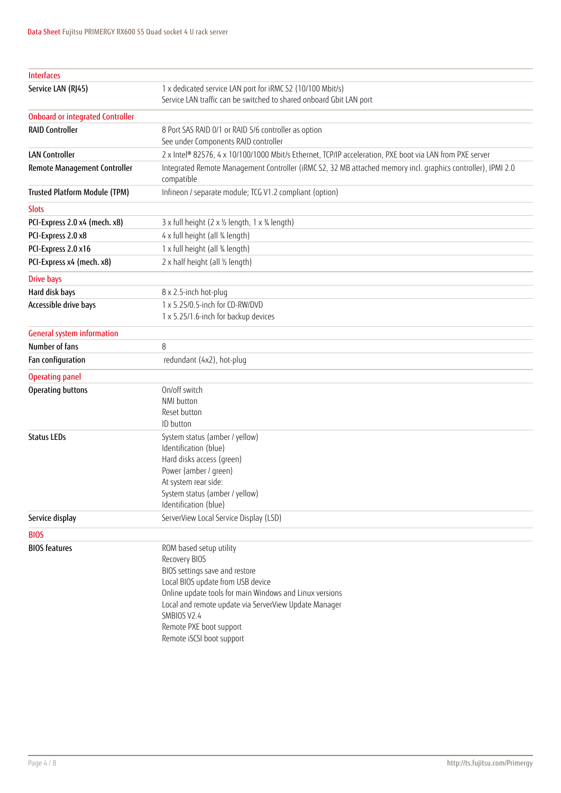| <b>Interfaces</b>                       |                                                                                                                                   |
|-----------------------------------------|-----------------------------------------------------------------------------------------------------------------------------------|
| Service LAN (RJ45)                      | 1 x dedicated service LAN port for iRMC S2 (10/100 Mbit/s)<br>Service LAN traffic can be switched to shared onboard Gbit LAN port |
|                                         |                                                                                                                                   |
| <b>Onboard or integrated Controller</b> |                                                                                                                                   |
| <b>RAID Controller</b>                  | 8 Port SAS RAID 0/1 or RAID 5/6 controller as option<br>See under Components RAID controller                                      |
| <b>LAN Controller</b>                   | 2 x Intel® 82576, 4 x 10/100/1000 Mbit/s Ethernet, TCP/IP acceleration, PXE boot via LAN from PXE server                          |
| Remote Management Controller            | Integrated Remote Management Controller (iRMC S2, 32 MB attached memory incl. graphics controller), IPMI 2.0<br>compatible        |
| Trusted Platform Module (TPM)           | Infineon / separate module; TCG V1.2 compliant (option)                                                                           |
| <b>Slots</b>                            |                                                                                                                                   |
| PCI-Express 2.0 x4 (mech. x8)           | $3 \times$ full height (2 x 1/2 length, 1 x 3/4 length)                                                                           |
| PCI-Express 2.0 x8                      | 4 x full height (all 34 length)                                                                                                   |
| PCI-Express 2.0 x16                     | 1 x full height (all % length)                                                                                                    |
| PCI-Express x4 (mech. x8)               | 2 x half height (all 1/2 length)                                                                                                  |
| <b>Drive bays</b>                       |                                                                                                                                   |
| Hard disk bays                          | 8 x 2.5-inch hot-plug                                                                                                             |
| Accessible drive bays                   | 1 x 5.25/0.5-inch for CD-RW/DVD                                                                                                   |
|                                         | 1 x 5.25/1.6-inch for backup devices                                                                                              |
| <b>General system information</b>       |                                                                                                                                   |
| Number of fans                          | 8                                                                                                                                 |
| Fan configuration                       | redundant (4x2), hot-plug                                                                                                         |
| <b>Operating panel</b>                  |                                                                                                                                   |
| Operating buttons                       | On/off switch                                                                                                                     |
|                                         | NMI button                                                                                                                        |
|                                         | Reset button                                                                                                                      |
|                                         | ID button                                                                                                                         |
| <b>Status LEDs</b>                      | System status (amber / yellow)<br>Identification (blue)                                                                           |
|                                         | Hard disks access (green)                                                                                                         |
|                                         | Power (amber / green)                                                                                                             |
|                                         | At system rear side:                                                                                                              |
|                                         | System status (amber / yellow)                                                                                                    |
|                                         | Identification (blue)                                                                                                             |
| Service display                         | ServerView Local Service Display (LSD)                                                                                            |
| <b>BIOS</b>                             |                                                                                                                                   |
| <b>BIOS features</b>                    | ROM based setup utility                                                                                                           |
|                                         | Recovery BIOS                                                                                                                     |
|                                         | BIOS settings save and restore                                                                                                    |
|                                         | Local BIOS update from USB device                                                                                                 |
|                                         | Online update tools for main Windows and Linux versions<br>Local and remote update via ServerView Update Manager                  |
|                                         | SMBIOS V2.4                                                                                                                       |
|                                         | Remote PXE boot support                                                                                                           |
|                                         | Remote iSCSI boot support                                                                                                         |
|                                         |                                                                                                                                   |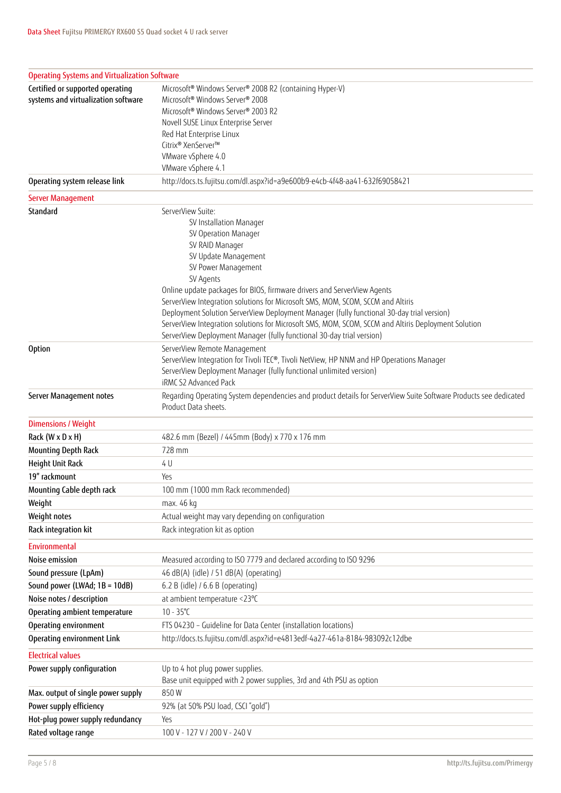|                                     | <b>Operating Systems and Virtualization Software</b>                                                                                     |  |  |
|-------------------------------------|------------------------------------------------------------------------------------------------------------------------------------------|--|--|
| Certified or supported operating    | Microsoft® Windows Server® 2008 R2 (containing Hyper-V)                                                                                  |  |  |
| systems and virtualization software | Microsoft <sup>®</sup> Windows Server <sup>®</sup> 2008                                                                                  |  |  |
|                                     | Microsoft <sup>®</sup> Windows Server® 2003 R2                                                                                           |  |  |
|                                     | Novell SUSE Linux Enterprise Server<br>Red Hat Enterprise Linux                                                                          |  |  |
|                                     | Citrix® XenServer™                                                                                                                       |  |  |
|                                     | VMware vSphere 4.0                                                                                                                       |  |  |
|                                     | VMware vSphere 4.1                                                                                                                       |  |  |
| Operating system release link       | http://docs.ts.fujitsu.com/dl.aspx?id=a9e600b9-e4cb-4f48-aa41-632f69058421                                                               |  |  |
| <b>Server Management</b>            |                                                                                                                                          |  |  |
| Standard                            | ServerView Suite:                                                                                                                        |  |  |
|                                     | SV Installation Manager                                                                                                                  |  |  |
|                                     | SV Operation Manager                                                                                                                     |  |  |
|                                     | SV RAID Manager                                                                                                                          |  |  |
|                                     | SV Update Management                                                                                                                     |  |  |
|                                     | SV Power Management<br>SV Agents                                                                                                         |  |  |
|                                     | Online update packages for BIOS, firmware drivers and ServerView Agents                                                                  |  |  |
|                                     | ServerView Integration solutions for Microsoft SMS, MOM, SCOM, SCCM and Altiris                                                          |  |  |
|                                     | Deployment Solution ServerView Deployment Manager (fully functional 30-day trial version)                                                |  |  |
|                                     | ServerView Integration solutions for Microsoft SMS, MOM, SCOM, SCCM and Altiris Deployment Solution                                      |  |  |
|                                     | ServerView Deployment Manager (fully functional 30-day trial version)                                                                    |  |  |
| <b>Option</b>                       | ServerView Remote Management                                                                                                             |  |  |
|                                     | ServerView Integration for Tivoli TEC®, Tivoli NetView, HP NNM and HP Operations Manager                                                 |  |  |
|                                     | ServerView Deployment Manager (fully functional unlimited version)                                                                       |  |  |
|                                     | iRMC S2 Advanced Pack                                                                                                                    |  |  |
| Server Management notes             | Regarding Operating System dependencies and product details for ServerView Suite Software Products see dedicated<br>Product Data sheets. |  |  |
| <b>Dimensions / Weight</b>          |                                                                                                                                          |  |  |
| Rack (W x D x H)                    | 482.6 mm (Bezel) / 445mm (Body) x 770 x 176 mm                                                                                           |  |  |
| <b>Mounting Depth Rack</b>          | 728 mm                                                                                                                                   |  |  |
| Height Unit Rack                    | 4 U                                                                                                                                      |  |  |
| 19" rackmount                       | Yes                                                                                                                                      |  |  |
| Mounting Cable depth rack           | 100 mm (1000 mm Rack recommended)                                                                                                        |  |  |
| Weight                              | max. 46 kg                                                                                                                               |  |  |
| Weight notes                        | Actual weight may vary depending on configuration                                                                                        |  |  |
| Rack integration kit                | Rack integration kit as option                                                                                                           |  |  |
| Environmental                       |                                                                                                                                          |  |  |
| Noise emission                      | Measured according to ISO 7779 and declared according to ISO 9296                                                                        |  |  |
| Sound pressure (LpAm)               | 46 dB(A) (idle) / 51 dB(A) (operating)                                                                                                   |  |  |
| Sound power (LWAd; 1B = 10dB)       | 6.2 B (idle) / 6.6 B (operating)                                                                                                         |  |  |
| Noise notes / description           | at ambient temperature <23°C                                                                                                             |  |  |
| Operating ambient temperature       | $10 - 35^{\circ}C$                                                                                                                       |  |  |
| Operating environment               | FTS 04230 - Guideline for Data Center (installation locations)                                                                           |  |  |
| Operating environment Link          | http://docs.ts.fujitsu.com/dl.aspx?id=e4813edf-4a27-461a-8184-983092c12dbe                                                               |  |  |
| <b>Electrical values</b>            |                                                                                                                                          |  |  |
| Power supply configuration          | Up to 4 hot plug power supplies.                                                                                                         |  |  |
|                                     | Base unit equipped with 2 power supplies, 3rd and 4th PSU as option                                                                      |  |  |
| Max. output of single power supply  | 850W                                                                                                                                     |  |  |
| Power supply efficiency             | 92% (at 50% PSU load, CSCI "gold")                                                                                                       |  |  |
| Hot-plug power supply redundancy    | Yes                                                                                                                                      |  |  |
| Rated voltage range                 | 100 V - 127 V / 200 V - 240 V                                                                                                            |  |  |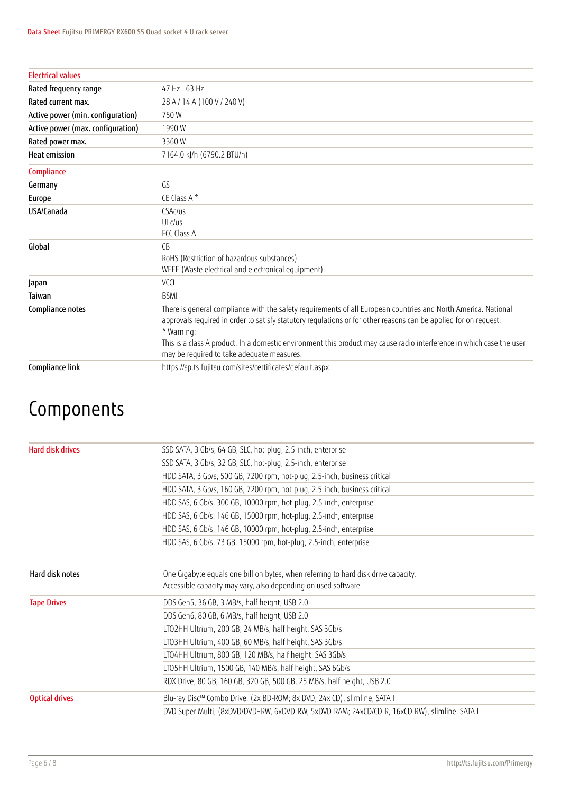| <b>Flectrical values</b>          |                                                                                                                                                                                                                                                  |
|-----------------------------------|--------------------------------------------------------------------------------------------------------------------------------------------------------------------------------------------------------------------------------------------------|
| Rated frequency range             | 47 Hz - 63 Hz                                                                                                                                                                                                                                    |
| Rated current max.                | 28 A / 14 A (100 V / 240 V)                                                                                                                                                                                                                      |
| Active power (min. configuration) | 750W                                                                                                                                                                                                                                             |
| Active power (max. configuration) | 1990W                                                                                                                                                                                                                                            |
| Rated power max.                  | 3360W                                                                                                                                                                                                                                            |
| <b>Heat emission</b>              | 7164.0 kJ/h (6790.2 BTU/h)                                                                                                                                                                                                                       |
| Compliance                        |                                                                                                                                                                                                                                                  |
| Germany                           | GS                                                                                                                                                                                                                                               |
| Europe                            | CE Class A*                                                                                                                                                                                                                                      |
| USA/Canada                        | CSAc/us                                                                                                                                                                                                                                          |
|                                   | ULc/us                                                                                                                                                                                                                                           |
|                                   | FCC Class A                                                                                                                                                                                                                                      |
| Global                            | C <sub>B</sub>                                                                                                                                                                                                                                   |
|                                   | RoHS (Restriction of hazardous substances)                                                                                                                                                                                                       |
|                                   | WEEE (Waste electrical and electronical equipment)                                                                                                                                                                                               |
| Japan                             | VCl                                                                                                                                                                                                                                              |
| Taiwan                            | <b>BSMI</b>                                                                                                                                                                                                                                      |
| Compliance notes                  | There is general compliance with the safety requirements of all European countries and North America. National<br>approvals required in order to satisfy statutory requlations or for other reasons can be applied for on request.<br>* Warning: |
|                                   | This is a class A product. In a domestic environment this product may cause radio interference in which case the user<br>may be required to take adequate measures.                                                                              |
| Compliance link                   | https://sp.ts.fujitsu.com/sites/certificates/default.aspx                                                                                                                                                                                        |
|                                   |                                                                                                                                                                                                                                                  |

## Components

| Hard disk drives      | SSD SATA, 3 Gb/s, 64 GB, SLC, hot-plug, 2.5-inch, enterprise                                 |
|-----------------------|----------------------------------------------------------------------------------------------|
|                       | SSD SATA, 3 Gb/s, 32 GB, SLC, hot-plug, 2.5-inch, enterprise                                 |
|                       | HDD SATA, 3 Gb/s, 500 GB, 7200 rpm, hot-plug, 2.5-inch, business critical                    |
|                       | HDD SATA, 3 Gb/s, 160 GB, 7200 rpm, hot-plug, 2.5-inch, business critical                    |
|                       | HDD SAS, 6 Gb/s, 300 GB, 10000 rpm, hot-plug, 2.5-inch, enterprise                           |
|                       | HDD SAS, 6 Gb/s, 146 GB, 15000 rpm, hot-plug, 2.5-inch, enterprise                           |
|                       | HDD SAS, 6 Gb/s, 146 GB, 10000 rpm, hot-plug, 2.5-inch, enterprise                           |
|                       | HDD SAS, 6 Gb/s, 73 GB, 15000 rpm, hot-plug, 2.5-inch, enterprise                            |
|                       |                                                                                              |
| Hard disk notes       | One Gigabyte equals one billion bytes, when referring to hard disk drive capacity.           |
|                       | Accessible capacity may vary, also depending on used software                                |
| <b>Tape Drives</b>    | DDS Gen5, 36 GB, 3 MB/s, half height, USB 2.0                                                |
|                       | DDS Gen6, 80 GB, 6 MB/s, half height, USB 2.0                                                |
|                       | LTO2HH Ultrium, 200 GB, 24 MB/s, half height, SAS 3Gb/s                                      |
|                       | LTO3HH Ultrium, 400 GB, 60 MB/s, half height, SAS 3Gb/s                                      |
|                       | LTO4HH Ultrium, 800 GB, 120 MB/s, half height, SAS 3Gb/s                                     |
|                       | LTO5HH Ultrium, 1500 GB, 140 MB/s, half height, SAS 6Gb/s                                    |
|                       | RDX Drive, 80 GB, 160 GB, 320 GB, 500 GB, 25 MB/s, half height, USB 2.0                      |
| <b>Optical drives</b> | Blu-ray Disc™ Combo Drive, (2x BD-ROM; 8x DVD; 24x CD), slimline, SATA I                     |
|                       | DVD Super Multi, (8xDVD/DVD+RW, 6xDVD-RW, 5xDVD-RAM; 24xCD/CD-R, 16xCD-RW), slimline, SATA I |
|                       |                                                                                              |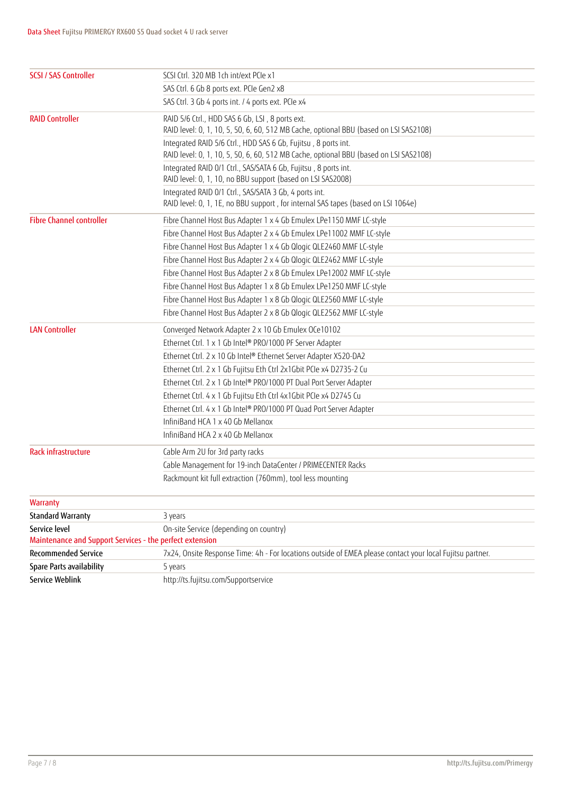| <b>SCSI / SAS Controller</b>                             | SCSI Ctrl. 320 MB 1ch int/ext PCIe x1                                                                                                       |
|----------------------------------------------------------|---------------------------------------------------------------------------------------------------------------------------------------------|
|                                                          | SAS Ctrl. 6 Gb 8 ports ext. PCIe Gen2 x8                                                                                                    |
|                                                          | SAS Ctrl. 3 Gb 4 ports int. / 4 ports ext. PCIe x4                                                                                          |
| <b>RAID Controller</b>                                   | RAID 5/6 Ctrl., HDD SAS 6 Gb, LSI, 8 ports ext.                                                                                             |
|                                                          | RAID level: 0, 1, 10, 5, 50, 6, 60, 512 MB Cache, optional BBU (based on LSI SAS2108)                                                       |
|                                                          | Integrated RAID 5/6 Ctrl., HDD SAS 6 Gb, Fujitsu, 8 ports int.                                                                              |
|                                                          | RAID level: 0, 1, 10, 5, 50, 6, 60, 512 MB Cache, optional BBU (based on LSI SAS2108)                                                       |
|                                                          | Integrated RAID 0/1 Ctrl., SAS/SATA 6 Gb, Fujitsu, 8 ports int.                                                                             |
|                                                          | RAID level: 0, 1, 10, no BBU support (based on LSI SAS2008)<br>Integrated RAID 0/1 Ctrl., SAS/SATA 3 Gb, 4 ports int.                       |
|                                                          | RAID level: 0, 1, 1E, no BBU support, for internal SAS tapes (based on LSI 1064e)                                                           |
|                                                          |                                                                                                                                             |
| <b>Fibre Channel controller</b>                          | Fibre Channel Host Bus Adapter 1 x 4 Gb Emulex LPe1150 MMF LC-style                                                                         |
|                                                          | Fibre Channel Host Bus Adapter 2 x 4 Gb Emulex LPe11002 MMF LC-style                                                                        |
|                                                          | Fibre Channel Host Bus Adapter 1 x 4 Gb Qlogic QLE2460 MMF LC-style                                                                         |
|                                                          | Fibre Channel Host Bus Adapter 2 x 4 Gb Qlogic QLE2462 MMF LC-style<br>Fibre Channel Host Bus Adapter 2 x 8 Gb Emulex LPe12002 MMF LC-style |
|                                                          | Fibre Channel Host Bus Adapter 1 x 8 Gb Emulex LPe1250 MMF LC-style                                                                         |
|                                                          | Fibre Channel Host Bus Adapter 1 x 8 Gb Qlogic QLE2560 MMF LC-style                                                                         |
|                                                          | Fibre Channel Host Bus Adapter 2 x 8 Gb Qlogic QLE2562 MMF LC-style                                                                         |
|                                                          |                                                                                                                                             |
| <b>LAN Controller</b>                                    | Converged Network Adapter 2 x 10 Gb Emulex OCe10102                                                                                         |
|                                                          | Ethernet Ctrl. 1 x 1 Gb Intel® PRO/1000 PF Server Adapter                                                                                   |
|                                                          | Ethernet Ctrl. 2 x 10 Gb Intel® Ethernet Server Adapter X520-DA2                                                                            |
|                                                          | Ethernet Ctrl. 2 x 1 Gb Fujitsu Eth Ctrl 2x1Gbit PCIe x4 D2735-2 Cu                                                                         |
|                                                          | Ethernet Ctrl. 2 x 1 Gb Intel® PRO/1000 PT Dual Port Server Adapter                                                                         |
|                                                          | Ethernet Ctrl. 4 x 1 Gb Fujitsu Eth Ctrl 4x1Gbit PCIe x4 D2745 Cu                                                                           |
|                                                          | Ethernet Ctrl. 4 x 1 Gb Intel® PRO/1000 PT Quad Port Server Adapter                                                                         |
|                                                          | InfiniBand HCA 1 x 40 Gb Mellanox                                                                                                           |
|                                                          | InfiniBand HCA 2 x 40 Gb Mellanox                                                                                                           |
| Rack infrastructure                                      | Cable Arm 2U for 3rd party racks                                                                                                            |
|                                                          | Cable Management for 19-inch DataCenter / PRIMECENTER Racks                                                                                 |
|                                                          | Rackmount kit full extraction (760mm), tool less mounting                                                                                   |
| Warranty                                                 |                                                                                                                                             |
| <b>Standard Warranty</b>                                 | 3 years                                                                                                                                     |
| Service level                                            | On-site Service (depending on country)                                                                                                      |
| Maintenance and Support Services - the perfect extension |                                                                                                                                             |
| <b>Recommended Service</b>                               | 7x24, Onsite Response Time: 4h - For locations outside of EMEA please contact your local Fujitsu partner.                                   |
| Spare Parts availability                                 | 5 years                                                                                                                                     |
| Service Weblink                                          | http://ts.fujitsu.com/Supportservice                                                                                                        |